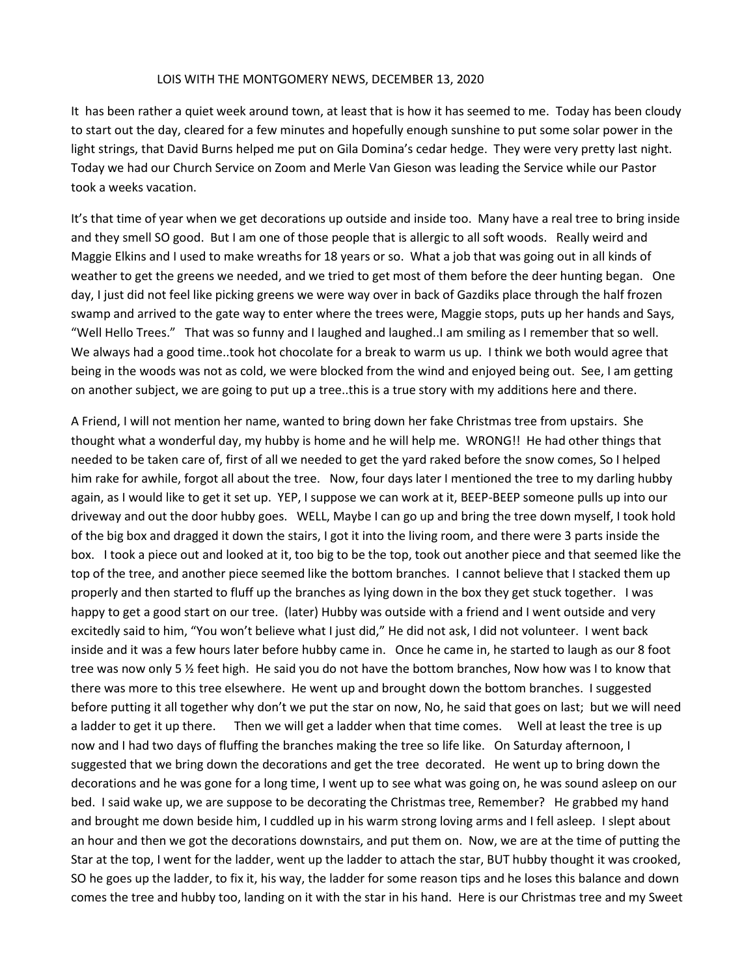## LOIS WITH THE MONTGOMERY NEWS, DECEMBER 13, 2020

It has been rather a quiet week around town, at least that is how it has seemed to me. Today has been cloudy to start out the day, cleared for a few minutes and hopefully enough sunshine to put some solar power in the light strings, that David Burns helped me put on Gila Domina's cedar hedge. They were very pretty last night. Today we had our Church Service on Zoom and Merle Van Gieson was leading the Service while our Pastor took a weeks vacation.

It's that time of year when we get decorations up outside and inside too. Many have a real tree to bring inside and they smell SO good. But I am one of those people that is allergic to all soft woods. Really weird and Maggie Elkins and I used to make wreaths for 18 years or so. What a job that was going out in all kinds of weather to get the greens we needed, and we tried to get most of them before the deer hunting began. One day, I just did not feel like picking greens we were way over in back of Gazdiks place through the half frozen swamp and arrived to the gate way to enter where the trees were, Maggie stops, puts up her hands and Says, "Well Hello Trees." That was so funny and I laughed and laughed..I am smiling as I remember that so well. We always had a good time..took hot chocolate for a break to warm us up. I think we both would agree that being in the woods was not as cold, we were blocked from the wind and enjoyed being out. See, I am getting on another subject, we are going to put up a tree..this is a true story with my additions here and there.

A Friend, I will not mention her name, wanted to bring down her fake Christmas tree from upstairs. She thought what a wonderful day, my hubby is home and he will help me. WRONG!! He had other things that needed to be taken care of, first of all we needed to get the yard raked before the snow comes, So I helped him rake for awhile, forgot all about the tree. Now, four days later I mentioned the tree to my darling hubby again, as I would like to get it set up. YEP, I suppose we can work at it, BEEP-BEEP someone pulls up into our driveway and out the door hubby goes. WELL, Maybe I can go up and bring the tree down myself, I took hold of the big box and dragged it down the stairs, I got it into the living room, and there were 3 parts inside the box. I took a piece out and looked at it, too big to be the top, took out another piece and that seemed like the top of the tree, and another piece seemed like the bottom branches. I cannot believe that I stacked them up properly and then started to fluff up the branches as lying down in the box they get stuck together. I was happy to get a good start on our tree. (later) Hubby was outside with a friend and I went outside and very excitedly said to him, "You won't believe what I just did," He did not ask, I did not volunteer. I went back inside and it was a few hours later before hubby came in. Once he came in, he started to laugh as our 8 foot tree was now only 5 ½ feet high. He said you do not have the bottom branches, Now how was I to know that there was more to this tree elsewhere. He went up and brought down the bottom branches. I suggested before putting it all together why don't we put the star on now, No, he said that goes on last; but we will need a ladder to get it up there. Then we will get a ladder when that time comes. Well at least the tree is up now and I had two days of fluffing the branches making the tree so life like. On Saturday afternoon, I suggested that we bring down the decorations and get the tree decorated. He went up to bring down the decorations and he was gone for a long time, I went up to see what was going on, he was sound asleep on our bed. I said wake up, we are suppose to be decorating the Christmas tree, Remember? He grabbed my hand and brought me down beside him, I cuddled up in his warm strong loving arms and I fell asleep. I slept about an hour and then we got the decorations downstairs, and put them on. Now, we are at the time of putting the Star at the top, I went for the ladder, went up the ladder to attach the star, BUT hubby thought it was crooked, SO he goes up the ladder, to fix it, his way, the ladder for some reason tips and he loses this balance and down comes the tree and hubby too, landing on it with the star in his hand. Here is our Christmas tree and my Sweet